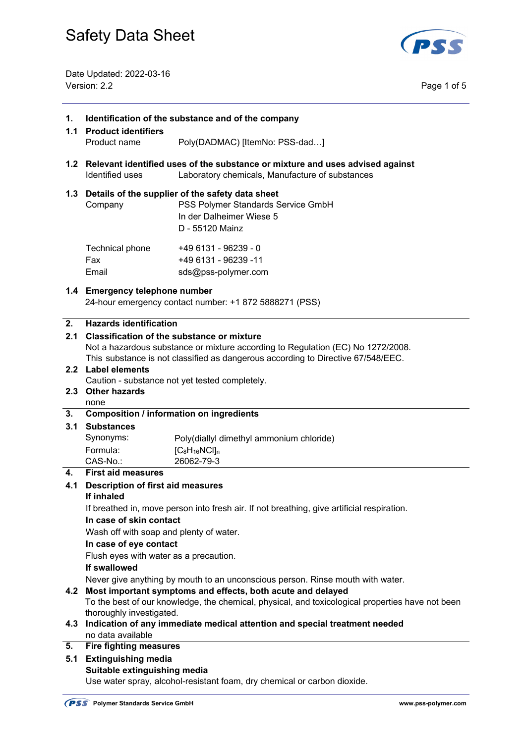

Date Updated: 2022-03-16 Version: 2.2 Page 1 of 5

| 1.<br>1.1 | Identification of the substance and of the company<br><b>Product identifiers</b>                                                                               |                                                                                            |  |  |  |
|-----------|----------------------------------------------------------------------------------------------------------------------------------------------------------------|--------------------------------------------------------------------------------------------|--|--|--|
|           | Product name                                                                                                                                                   | Poly(DADMAC) [ItemNo: PSS-dad]                                                             |  |  |  |
|           | 1.2 Relevant identified uses of the substance or mixture and uses advised against<br><b>Identified uses</b><br>Laboratory chemicals, Manufacture of substances |                                                                                            |  |  |  |
|           | 1.3 Details of the supplier of the safety data sheet<br>PSS Polymer Standards Service GmbH<br>Company<br>In der Dalheimer Wiese 5<br>D - 55120 Mainz           |                                                                                            |  |  |  |
|           | Technical phone<br>Fax<br>Email                                                                                                                                | +49 6131 - 96239 - 0<br>+49 6131 - 96239 -11<br>sds@pss-polymer.com                        |  |  |  |
|           | 1.4 Emergency telephone number<br>24-hour emergency contact number: +1 872 5888271 (PSS)                                                                       |                                                                                            |  |  |  |
| 2.        | <b>Hazards identification</b>                                                                                                                                  |                                                                                            |  |  |  |
| 2.1       | <b>Classification of the substance or mixture</b><br>Not a hazardous substance or mixture according to Regulation (EC) No 1272/2008.                           |                                                                                            |  |  |  |
|           | 2.2 Label elements                                                                                                                                             | This substance is not classified as dangerous according to Directive 67/548/EEC.           |  |  |  |
|           |                                                                                                                                                                | Caution - substance not yet tested completely.                                             |  |  |  |
|           | 2.3 Other hazards                                                                                                                                              |                                                                                            |  |  |  |
|           | none                                                                                                                                                           |                                                                                            |  |  |  |
| 3.        |                                                                                                                                                                | <b>Composition / information on ingredients</b>                                            |  |  |  |
| 3.1       | <b>Substances</b><br>Synonyms:                                                                                                                                 | Poly(diallyl dimethyl ammonium chloride)                                                   |  |  |  |
|           | Formula:                                                                                                                                                       | $[C_8H_{16}NCI]_n$                                                                         |  |  |  |
|           | CAS-No.:                                                                                                                                                       | 26062-79-3                                                                                 |  |  |  |
| 4.        | <b>First aid measures</b>                                                                                                                                      |                                                                                            |  |  |  |
| 4.1       | <b>Description of first aid measures</b><br>If inhaled                                                                                                         |                                                                                            |  |  |  |
|           |                                                                                                                                                                | If breathed in, move person into fresh air. If not breathing, give artificial respiration. |  |  |  |
|           | In case of skin contact                                                                                                                                        |                                                                                            |  |  |  |
|           | Wash off with soap and plenty of water.                                                                                                                        |                                                                                            |  |  |  |
|           | In case of eye contact<br>Flush eyes with water as a precaution.                                                                                               |                                                                                            |  |  |  |
|           | If swallowed                                                                                                                                                   |                                                                                            |  |  |  |
|           | Never give anything by mouth to an unconscious person. Rinse mouth with water.                                                                                 |                                                                                            |  |  |  |
| 4.2       | Most important symptoms and effects, both acute and delayed                                                                                                    |                                                                                            |  |  |  |
|           | To the best of our knowledge, the chemical, physical, and toxicological properties have not been                                                               |                                                                                            |  |  |  |
| 4.3       | thoroughly investigated.                                                                                                                                       |                                                                                            |  |  |  |
|           | Indication of any immediate medical attention and special treatment needed<br>no data available                                                                |                                                                                            |  |  |  |
| 5.        | <b>Fire fighting measures</b>                                                                                                                                  |                                                                                            |  |  |  |
| 5.1       | <b>Extinguishing media</b>                                                                                                                                     |                                                                                            |  |  |  |
|           | Suitable extinguishing media<br>Use water spray, alcohol-resistant foam, dry chemical or carbon dioxide.                                                       |                                                                                            |  |  |  |
|           |                                                                                                                                                                |                                                                                            |  |  |  |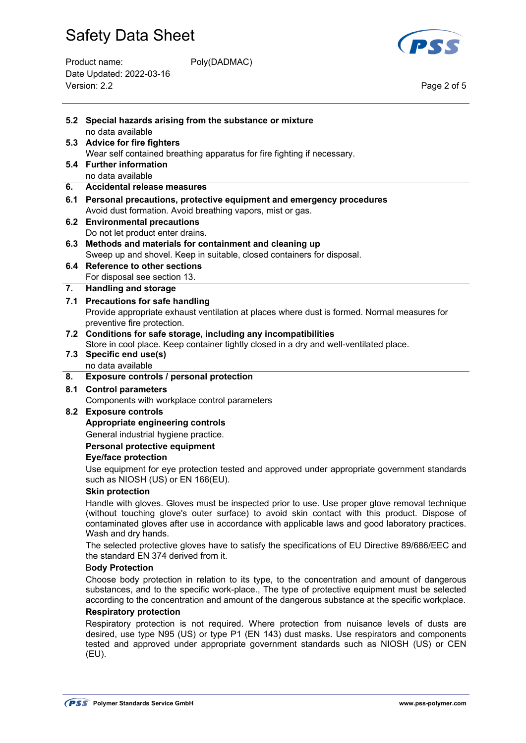### Product name: Poly(DADMAC) Date Updated: 2022-03-16 Version: 2.2 Page 2 of 5



|     | 5.2 Special hazards arising from the substance or mixture<br>no data available                                                                                                                                                                                                                                          |  |  |  |
|-----|-------------------------------------------------------------------------------------------------------------------------------------------------------------------------------------------------------------------------------------------------------------------------------------------------------------------------|--|--|--|
|     | 5.3 Advice for fire fighters                                                                                                                                                                                                                                                                                            |  |  |  |
|     | Wear self contained breathing apparatus for fire fighting if necessary.                                                                                                                                                                                                                                                 |  |  |  |
|     | 5.4 Further information                                                                                                                                                                                                                                                                                                 |  |  |  |
|     | no data available                                                                                                                                                                                                                                                                                                       |  |  |  |
| 6.  | <b>Accidental release measures</b>                                                                                                                                                                                                                                                                                      |  |  |  |
| 6.1 | Personal precautions, protective equipment and emergency procedures<br>Avoid dust formation. Avoid breathing vapors, mist or gas.                                                                                                                                                                                       |  |  |  |
|     | 6.2 Environmental precautions                                                                                                                                                                                                                                                                                           |  |  |  |
|     | Do not let product enter drains.                                                                                                                                                                                                                                                                                        |  |  |  |
|     | 6.3 Methods and materials for containment and cleaning up                                                                                                                                                                                                                                                               |  |  |  |
|     | Sweep up and shovel. Keep in suitable, closed containers for disposal.                                                                                                                                                                                                                                                  |  |  |  |
|     | 6.4 Reference to other sections                                                                                                                                                                                                                                                                                         |  |  |  |
|     | For disposal see section 13.                                                                                                                                                                                                                                                                                            |  |  |  |
| 7.  | <b>Handling and storage</b>                                                                                                                                                                                                                                                                                             |  |  |  |
|     | 7.1 Precautions for safe handling                                                                                                                                                                                                                                                                                       |  |  |  |
|     | Provide appropriate exhaust ventilation at places where dust is formed. Normal measures for                                                                                                                                                                                                                             |  |  |  |
|     | preventive fire protection.<br>7.2 Conditions for safe storage, including any incompatibilities                                                                                                                                                                                                                         |  |  |  |
|     | Store in cool place. Keep container tightly closed in a dry and well-ventilated place.                                                                                                                                                                                                                                  |  |  |  |
|     | 7.3 Specific end use(s)                                                                                                                                                                                                                                                                                                 |  |  |  |
|     | no data available                                                                                                                                                                                                                                                                                                       |  |  |  |
| 8.  | Exposure controls / personal protection                                                                                                                                                                                                                                                                                 |  |  |  |
| 8.1 | <b>Control parameters</b>                                                                                                                                                                                                                                                                                               |  |  |  |
|     | Components with workplace control parameters                                                                                                                                                                                                                                                                            |  |  |  |
|     | 8.2 Exposure controls                                                                                                                                                                                                                                                                                                   |  |  |  |
|     | Appropriate engineering controls                                                                                                                                                                                                                                                                                        |  |  |  |
|     | General industrial hygiene practice.                                                                                                                                                                                                                                                                                    |  |  |  |
|     | Personal protective equipment<br><b>Eye/face protection</b>                                                                                                                                                                                                                                                             |  |  |  |
|     | Use equipment for eye protection tested and approved under appropriate government standards<br>such as NIOSH (US) or EN 166(EU).                                                                                                                                                                                        |  |  |  |
|     | <b>Skin protection</b>                                                                                                                                                                                                                                                                                                  |  |  |  |
|     | Handle with gloves. Gloves must be inspected prior to use. Use proper glove removal technique<br>(without touching glove's outer surface) to avoid skin contact with this product. Dispose of<br>contaminated gloves after use in accordance with applicable laws and good laboratory practices.<br>Wash and dry hands. |  |  |  |
|     | The selected protective gloves have to satisfy the specifications of EU Directive 89/686/EEC and<br>the standard EN 374 derived from it.                                                                                                                                                                                |  |  |  |
|     | <b>Body Protection</b>                                                                                                                                                                                                                                                                                                  |  |  |  |
|     | Choose body protection in relation to its type, to the concentration and amount of dangerous<br>substances, and to the specific work-place., The type of protective equipment must be selected<br>according to the concentration and amount of the dangerous substance at the specific workplace.                       |  |  |  |
|     | <b>Respiratory protection</b>                                                                                                                                                                                                                                                                                           |  |  |  |
|     | Respiratory protection is not required. Where protection from nuisance levels of dusts are<br>desired, use type N95 (US) or type P1 (EN 143) dust masks. Use respirators and components<br>tested and approved under appropriate government standards such as NIOSH (US) or CEN<br>(EU).                                |  |  |  |
|     |                                                                                                                                                                                                                                                                                                                         |  |  |  |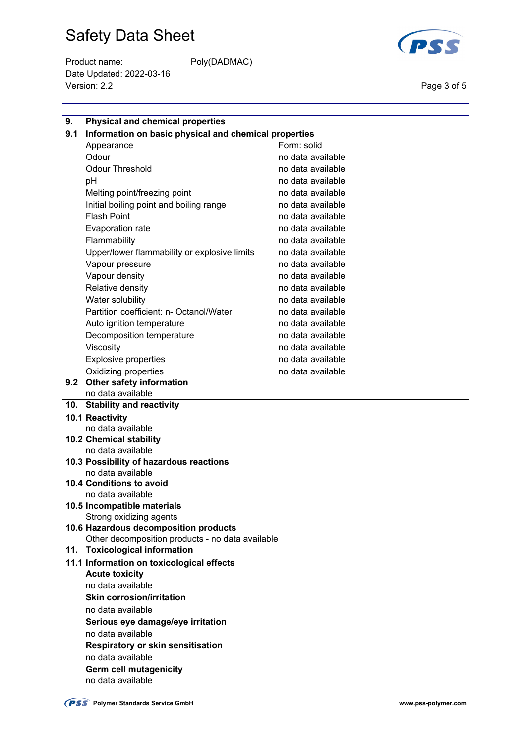Product name: Poly(DADMAC) Date Updated: 2022-03-16 Version: 2.2 Page 3 of 5



| 9.  | <b>Physical and chemical properties</b>               |                   |  |  |  |  |
|-----|-------------------------------------------------------|-------------------|--|--|--|--|
| 9.1 | Information on basic physical and chemical properties |                   |  |  |  |  |
|     | Appearance                                            | Form: solid       |  |  |  |  |
|     | Odour                                                 | no data available |  |  |  |  |
|     | <b>Odour Threshold</b>                                | no data available |  |  |  |  |
|     | pH                                                    | no data available |  |  |  |  |
|     | Melting point/freezing point                          | no data available |  |  |  |  |
|     | Initial boiling point and boiling range               | no data available |  |  |  |  |
|     | <b>Flash Point</b>                                    | no data available |  |  |  |  |
|     | Evaporation rate                                      | no data available |  |  |  |  |
|     | Flammability                                          | no data available |  |  |  |  |
|     | Upper/lower flammability or explosive limits          | no data available |  |  |  |  |
|     | Vapour pressure                                       | no data available |  |  |  |  |
|     | Vapour density                                        | no data available |  |  |  |  |
|     | Relative density                                      | no data available |  |  |  |  |
|     | Water solubility                                      | no data available |  |  |  |  |
|     | Partition coefficient: n- Octanol/Water               | no data available |  |  |  |  |
|     | Auto ignition temperature                             | no data available |  |  |  |  |
|     | Decomposition temperature                             | no data available |  |  |  |  |
|     | Viscosity                                             | no data available |  |  |  |  |
|     | <b>Explosive properties</b>                           | no data available |  |  |  |  |
|     | Oxidizing properties                                  | no data available |  |  |  |  |
|     | 9.2 Other safety information                          |                   |  |  |  |  |
|     | no data available                                     |                   |  |  |  |  |
|     | 10. Stability and reactivity                          |                   |  |  |  |  |
|     | 10.1 Reactivity                                       |                   |  |  |  |  |
|     | no data available                                     |                   |  |  |  |  |
|     | 10.2 Chemical stability                               |                   |  |  |  |  |
|     | no data available                                     |                   |  |  |  |  |
|     | 10.3 Possibility of hazardous reactions               |                   |  |  |  |  |
|     | no data available                                     |                   |  |  |  |  |
|     | 10.4 Conditions to avoid                              |                   |  |  |  |  |
|     | no data available<br>10.5 Incompatible materials      |                   |  |  |  |  |
|     | Strong oxidizing agents                               |                   |  |  |  |  |
|     | 10.6 Hazardous decomposition products                 |                   |  |  |  |  |
|     | Other decomposition products - no data available      |                   |  |  |  |  |
|     | 11. Toxicological information                         |                   |  |  |  |  |
|     | 11.1 Information on toxicological effects             |                   |  |  |  |  |
|     | <b>Acute toxicity</b>                                 |                   |  |  |  |  |
|     | no data available                                     |                   |  |  |  |  |
|     | <b>Skin corrosion/irritation</b>                      |                   |  |  |  |  |
|     | no data available                                     |                   |  |  |  |  |
|     | Serious eye damage/eye irritation                     |                   |  |  |  |  |
|     | no data available                                     |                   |  |  |  |  |
|     | <b>Respiratory or skin sensitisation</b>              |                   |  |  |  |  |
|     | no data available                                     |                   |  |  |  |  |
|     | Germ cell mutagenicity                                |                   |  |  |  |  |
|     | no data available                                     |                   |  |  |  |  |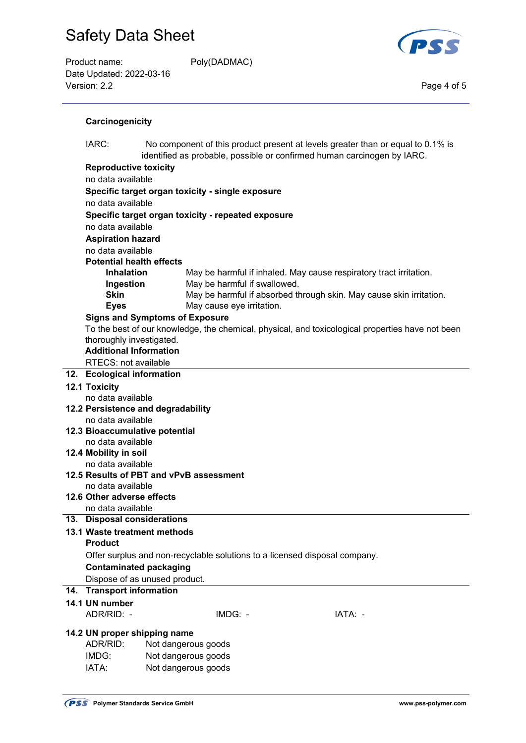Product name: Poly(DADMAC) Date Updated: 2022-03-16 Version: 2.2 Page 4 of 5



#### **Carcinogenicity**

| IARC:<br>No component of this product present at levels greater than or equal to 0.1% is<br>identified as probable, possible or confirmed human carcinogen by IARC. |                                                    |                                         |  |                                                                                                  |  |  |  |
|---------------------------------------------------------------------------------------------------------------------------------------------------------------------|----------------------------------------------------|-----------------------------------------|--|--------------------------------------------------------------------------------------------------|--|--|--|
| <b>Reproductive toxicity</b>                                                                                                                                        |                                                    |                                         |  |                                                                                                  |  |  |  |
| no data available                                                                                                                                                   |                                                    |                                         |  |                                                                                                  |  |  |  |
|                                                                                                                                                                     | Specific target organ toxicity - single exposure   |                                         |  |                                                                                                  |  |  |  |
| no data available                                                                                                                                                   |                                                    |                                         |  |                                                                                                  |  |  |  |
|                                                                                                                                                                     | Specific target organ toxicity - repeated exposure |                                         |  |                                                                                                  |  |  |  |
|                                                                                                                                                                     | no data available                                  |                                         |  |                                                                                                  |  |  |  |
| <b>Aspiration hazard</b>                                                                                                                                            |                                                    |                                         |  |                                                                                                  |  |  |  |
| no data available                                                                                                                                                   |                                                    |                                         |  |                                                                                                  |  |  |  |
| <b>Potential health effects</b>                                                                                                                                     |                                                    |                                         |  |                                                                                                  |  |  |  |
| <b>Inhalation</b>                                                                                                                                                   |                                                    |                                         |  | May be harmful if inhaled. May cause respiratory tract irritation.                               |  |  |  |
| Ingestion<br><b>Skin</b>                                                                                                                                            |                                                    | May be harmful if swallowed.            |  |                                                                                                  |  |  |  |
| <b>Eyes</b>                                                                                                                                                         |                                                    | May cause eye irritation.               |  | May be harmful if absorbed through skin. May cause skin irritation.                              |  |  |  |
| <b>Signs and Symptoms of Exposure</b>                                                                                                                               |                                                    |                                         |  |                                                                                                  |  |  |  |
|                                                                                                                                                                     |                                                    |                                         |  | To the best of our knowledge, the chemical, physical, and toxicological properties have not been |  |  |  |
| thoroughly investigated.                                                                                                                                            |                                                    |                                         |  |                                                                                                  |  |  |  |
| <b>Additional Information</b>                                                                                                                                       |                                                    |                                         |  |                                                                                                  |  |  |  |
| RTECS: not available                                                                                                                                                |                                                    |                                         |  |                                                                                                  |  |  |  |
| 12. Ecological information                                                                                                                                          |                                                    |                                         |  |                                                                                                  |  |  |  |
| 12.1 Toxicity                                                                                                                                                       |                                                    |                                         |  |                                                                                                  |  |  |  |
| no data available                                                                                                                                                   |                                                    |                                         |  |                                                                                                  |  |  |  |
| 12.2 Persistence and degradability                                                                                                                                  |                                                    |                                         |  |                                                                                                  |  |  |  |
| no data available                                                                                                                                                   |                                                    |                                         |  |                                                                                                  |  |  |  |
| 12.3 Bioaccumulative potential                                                                                                                                      |                                                    |                                         |  |                                                                                                  |  |  |  |
| no data available<br>12.4 Mobility in soil                                                                                                                          |                                                    |                                         |  |                                                                                                  |  |  |  |
| no data available                                                                                                                                                   |                                                    |                                         |  |                                                                                                  |  |  |  |
|                                                                                                                                                                     |                                                    | 12.5 Results of PBT and vPvB assessment |  |                                                                                                  |  |  |  |
| no data available                                                                                                                                                   |                                                    |                                         |  |                                                                                                  |  |  |  |
| 12.6 Other adverse effects                                                                                                                                          |                                                    |                                         |  |                                                                                                  |  |  |  |
| no data available                                                                                                                                                   |                                                    |                                         |  |                                                                                                  |  |  |  |
| 13. Disposal considerations                                                                                                                                         |                                                    |                                         |  |                                                                                                  |  |  |  |
| 13.1 Waste treatment methods                                                                                                                                        |                                                    |                                         |  |                                                                                                  |  |  |  |
| <b>Product</b>                                                                                                                                                      |                                                    |                                         |  |                                                                                                  |  |  |  |
| Offer surplus and non-recyclable solutions to a licensed disposal company.                                                                                          |                                                    |                                         |  |                                                                                                  |  |  |  |
| <b>Contaminated packaging</b>                                                                                                                                       |                                                    |                                         |  |                                                                                                  |  |  |  |
| Dispose of as unused product.                                                                                                                                       |                                                    |                                         |  |                                                                                                  |  |  |  |
| 14. Transport information                                                                                                                                           |                                                    |                                         |  |                                                                                                  |  |  |  |
| 14.1 UN number                                                                                                                                                      |                                                    |                                         |  |                                                                                                  |  |  |  |
| ADR/RID: -                                                                                                                                                          |                                                    | IMDG: -                                 |  | IATA: -                                                                                          |  |  |  |
| 14.2 UN proper shipping name                                                                                                                                        |                                                    |                                         |  |                                                                                                  |  |  |  |
| ADR/RID:<br>Not dangerous goods                                                                                                                                     |                                                    |                                         |  |                                                                                                  |  |  |  |
| IMDG:                                                                                                                                                               |                                                    | Not dangerous goods                     |  |                                                                                                  |  |  |  |
| IATA:                                                                                                                                                               |                                                    | Not dangerous goods                     |  |                                                                                                  |  |  |  |
|                                                                                                                                                                     |                                                    |                                         |  |                                                                                                  |  |  |  |